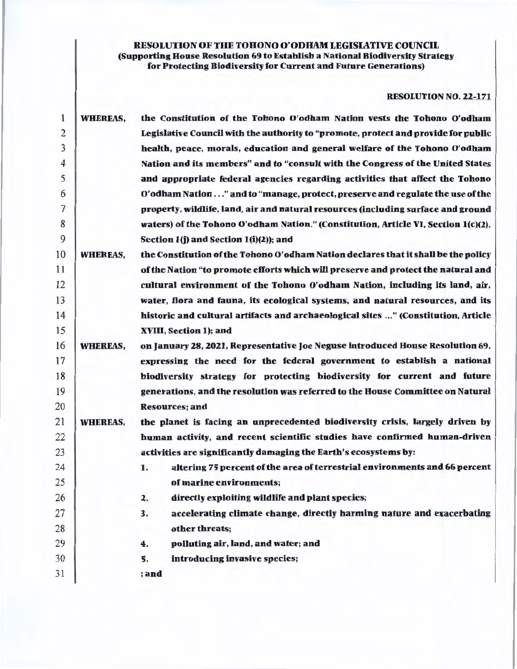# RESOLUTION OF THE TOHONO O'ODHAM LEGISLATIVE COUNCIL (Supporting House Resolution 69 to Establish a National Biodiversity Strategy for Protecting Biodiversity for Current and Future Generations)

# RESOLUTION NO. 22-171

| 1              | <b>WHEREAS,</b> | the Constitution of the Tohono O'odham Nation vests the Tohono O'odham             |
|----------------|-----------------|------------------------------------------------------------------------------------|
| $\overline{2}$ |                 | Legislative Council with the authority to "promote, protect and provide for public |
| 3              |                 | health, peace, morals, education and general welfare of the Tohono O'odham         |
| $\overline{4}$ |                 | Nation and its members" and to "consult with the Congress of the United States     |
| 5              |                 | and appropriate federal agencies regarding activities that affect the Tohono       |
| 6              |                 | O'odham Nation" and to "manage, protect, preserve and regulate the use of the      |
| 7              |                 | property, wildlife, land, air and natural resources (including surface and ground  |
| 8              |                 | waters) of the Tohono O'odham Nation." (Constitution, Article VI, Section 1(c)(2), |
| 9              |                 | Section 1(j) and Section 1(i)(2)); and                                             |
| 10             | <b>WHEREAS,</b> | the Constitution of the Tohono O'odham Nation declares that it shall be the policy |
| 11             |                 | of the Nation "to promote efforts which will preserve and protect the natural and  |
| 12             |                 | cultural environment of the Tohono O'odham Nation, including its land, air,        |
| 13             |                 | water, flora and fauna, its ecological systems, and natural resources, and its     |
| 14             |                 | historic and cultural artifacts and archaeological sites " (Constitution, Article  |
| 15             |                 | XVIII, Section 1); and                                                             |
| 16             | <b>WHEREAS,</b> | on January 28, 2021, Representative Joe Neguse introduced House Resolution 69,     |
| 17             |                 | expressing the need for the federal government to establish a national             |
| 18             |                 | biodiversity strategy for protecting biodiversity for current and future           |
| 19             |                 | generations, and the resolution was referred to the House Committee on Natural     |
| 20             |                 | <b>Resources; and</b>                                                              |
| 21             | <b>WHEREAS,</b> | the planet is facing an unprecedented biodiversity crisis, largely driven by       |
| 22             |                 | human activity, and recent scientific studies have confirmed human-driven          |
| 23             |                 | activities are significantly damaging the Earth's ecosystems by:                   |
| 24             |                 | altering 75 percent of the area of terrestrial environments and 66 percent<br>1.   |
| 25             |                 | of marine environments;                                                            |
| 26             |                 | directly exploiting wildlife and plant species;<br>2.                              |
| 27             |                 | accelerating climate change, directly harming nature and exacerbating<br>3.        |
| 28             |                 | other threats;                                                                     |
| 29             |                 | polluting air, land, and water; and<br>4.                                          |
| 30             |                 | introducing invasive species;<br>5.                                                |
| 31             |                 | ; and                                                                              |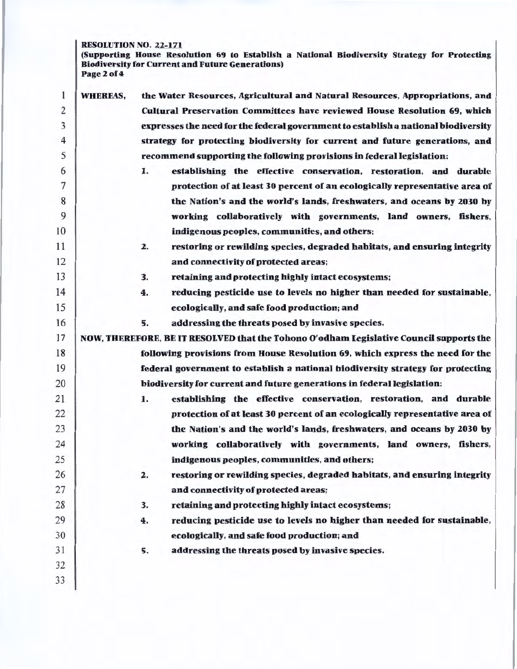## RESOLUTION NO. 22-171

(Supporting House Resolution 69 to Establish a National Biodiversity Strategy for Protecting Biodiversity for Current and Future Generations) Page 2 of 4

| 1              | <b>WHEREAS,</b> | the Water Resources, Agricultural and Natural Resources, Appropriations, and            |
|----------------|-----------------|-----------------------------------------------------------------------------------------|
| $\overline{2}$ |                 | Cultural Preservation Committees have reviewed House Resolution 69, which               |
| 3              |                 | expresses the need for the federal government to establish a national biodiversity      |
| $\overline{4}$ |                 | strategy for protecting biodiversity for current and future generations, and            |
| 5              |                 | recommend supporting the following provisions in federal legislation:                   |
| 6              |                 | establishing the effective conservation, restoration, and durable<br>1.                 |
| 7              |                 | protection of at least 30 percent of an ecologically representative area of             |
| 8              |                 | the Nation's and the world's lands, freshwaters, and oceans by 2030 by                  |
| 9              |                 | working collaboratively with governments, land owners, fishers,                         |
| 10             |                 | indigenous peoples, communities, and others;                                            |
| 11             |                 | 2.<br>restoring or rewilding species, degraded habitats, and ensuring integrity         |
| 12             |                 | and connectivity of protected areas;                                                    |
| 13             |                 | retaining and protecting highly intact ecosystems;<br>3.                                |
| 14             |                 | reducing pesticide use to levels no higher than needed for sustainable,<br>4.           |
| 15             |                 | ecologically, and safe food production; and                                             |
| 16             |                 | 5.<br>addressing the threats posed by invasive species.                                 |
| 17             |                 | NOW, THEREFORE, BE IT RESOLVED that the Tohono O'odham Legislative Council supports the |
| 18             |                 | following provisions from House Resolution 69, which express the need for the           |
| 19             |                 | federal government to establish a national biodiversity strategy for protecting         |
| 20             |                 | biodiversity for current and future generations in federal legislation:                 |
| 21             |                 | establishing the effective conservation, restoration, and durable<br>1.                 |
| 22             |                 | protection of at least 30 percent of an ecologically representative area of             |
| 23             |                 | the Nation's and the world's lands, freshwaters, and oceans by 2030 by                  |
| 24             |                 | working collaboratively with governments, land owners, fishers,                         |
| 25             |                 | indigenous peoples, communities, and others;                                            |
| 26             |                 | 2.<br>restoring or rewilding species, degraded habitats, and ensuring integrity         |
| 27             |                 | and connectivity of protected areas;                                                    |
| 28             |                 | retaining and protecting highly intact ecosystems;<br>3.                                |
| 29             |                 | reducing pesticide use to levels no higher than needed for sustainable,<br>4.           |
| 30             |                 | ecologically, and safe food production; and                                             |
| 31             |                 | 5.<br>addressing the threats posed by invasive species.                                 |
| 32             |                 |                                                                                         |
| 33             |                 |                                                                                         |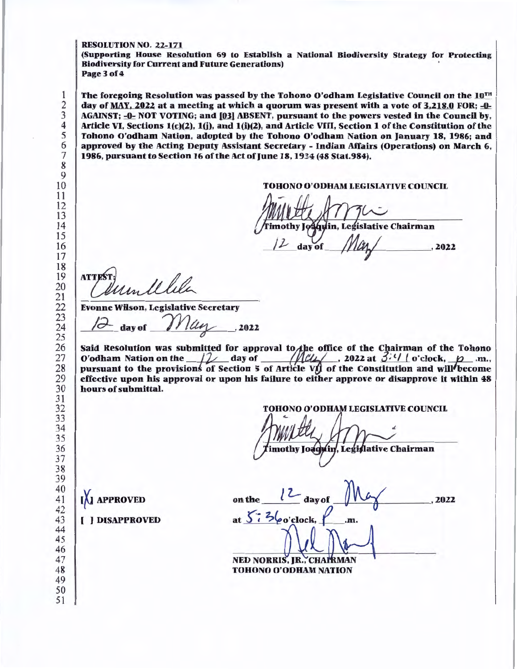### RESOLUTION NO. 22-171

(Supporting House Resolution 69 to Establish a National Biodiversity Strategy for Protecting Biodiversity for Current and Future Generations) · Page 3 of 4

The foregoing Resolution was passed by the Tohono O'odham Legislative Council on the  $10^{TH}$ day of MAY. 2022 at a meeting at which a quorum was present with a vote of 3.218.0 FOR: -0-AGAINST; -0- NOT VOTING; and [03] ABSENT, pursuant to the powers vested in the Council by, Article VI, Sections l(c)(2), l(j), and l(i)(2.), and Article VIII, Section 1 of the Constitution of the Tohono O'odham Nation, adopted by the Tohono O'odham Nation on January 18, 1986; and approved by the Acting Deputy Assistant Secretary - Indian Affairs (Operations) on March 6. 1986, pursuant to Section 16 of the Act of June 18, 1934 (48 Stat.984).

TOHONO O'ODHAM LEGISLATIVE COUNCll

Fimothy Joaquin, Legislative Chairman day of  $.2022$ 

**ATTES** 

Evonne Wilson, Legislative Secretary

 $day of$   $1/144$ , 2022

Said Resolution was submitted for approval to the office of the Chairman of the Tohono O'odham Nation on the  $\frac{1}{2}$  day of  $\frac{1}{2}$  and  $\frac{1}{2}$  and  $\frac{1}{2}$  and  $\frac{1}{2}$  and  $\frac{1}{2}$  and  $\frac{1}{2}$  and  $\frac{1}{2}$  a pursuant to the provisions of Section 5 of Article VII of the Constitution and will become effective upon his approval or upon his failure to either approve or disapprove it within 48 hours of submittal.

TOHONO O'ODHAM LEGISLATIVE COUNCIL

mothy Joaquin, Legislative Chairman

**IAI APPROVED** 

[ ) DISAPPROVED

on the  $\frac{1}{2}$  day of at  $5: 36$ o'clock,  $f$  .m. NED NOT TOHONO O' ED NORRI  $\left[\begin{matrix} 1 & 1 \\ 0 & 0 \end{matrix}\right]$ , 2022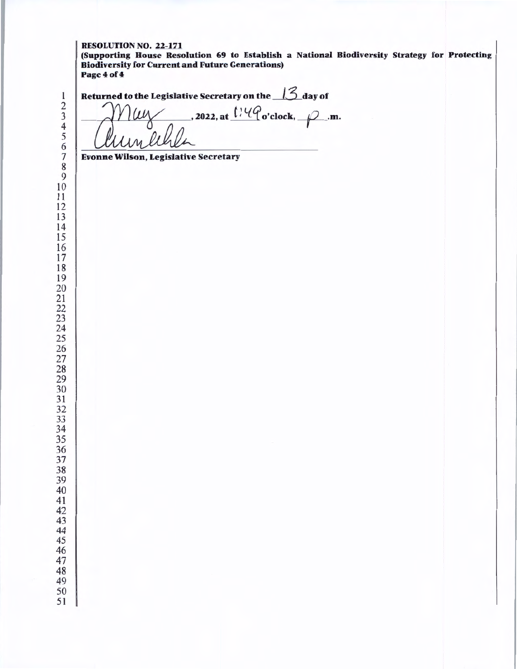## RESOLUTION NO. 22-171

(Supporting House Resolution 69 to Establish a National Biodiversity Strategy for Protecting **Biodiversity for Current and Future Generations)** Page 4 of 4

1<br>
2<br>
3<br>
4<br>
2<br>
2022, at  $\frac{17}{4}$  o'clock,  $\frac{13}{4}$ 

 $1.2022$ , at  $1.4\degree$  o'clock,  $\degree$ .m.

Evonne Wilson, Legislative Secretary